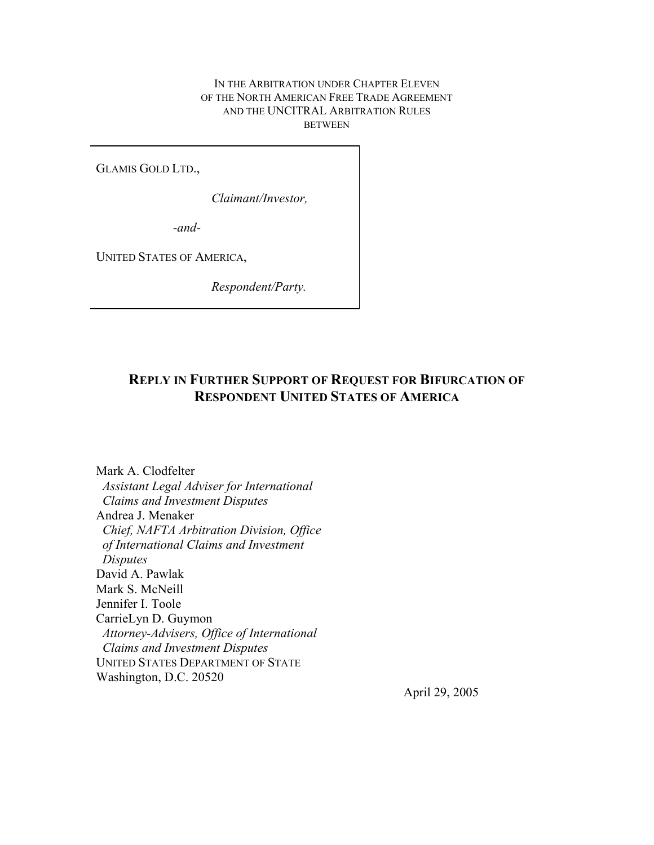### IN THE ARBITRATION UNDER CHAPTER ELEVEN OF THE NORTH AMERICAN FREE TRADE AGREEMENT AND THE UNCITRAL ARBITRATION RULES BETWEEN

GLAMIS GOLD LTD.,

*Claimant/Investor,* 

*-and-*

UNITED STATES OF AMERICA,

*Respondent/Party.*

# **REPLY IN FURTHER SUPPORT OF REQUEST FOR BIFURCATION OF RESPONDENT UNITED STATES OF AMERICA**

Mark A. Clodfelter *Assistant Legal Adviser for International Claims and Investment Disputes* Andrea J. Menaker *Chief, NAFTA Arbitration Division, Office of International Claims and Investment Disputes* David A. Pawlak Mark S. McNeill Jennifer I. Toole CarrieLyn D. Guymon *Attorney-Advisers, Office of International Claims and Investment Disputes* UNITED STATES DEPARTMENT OF STATE Washington, D.C. 20520

April 29, 2005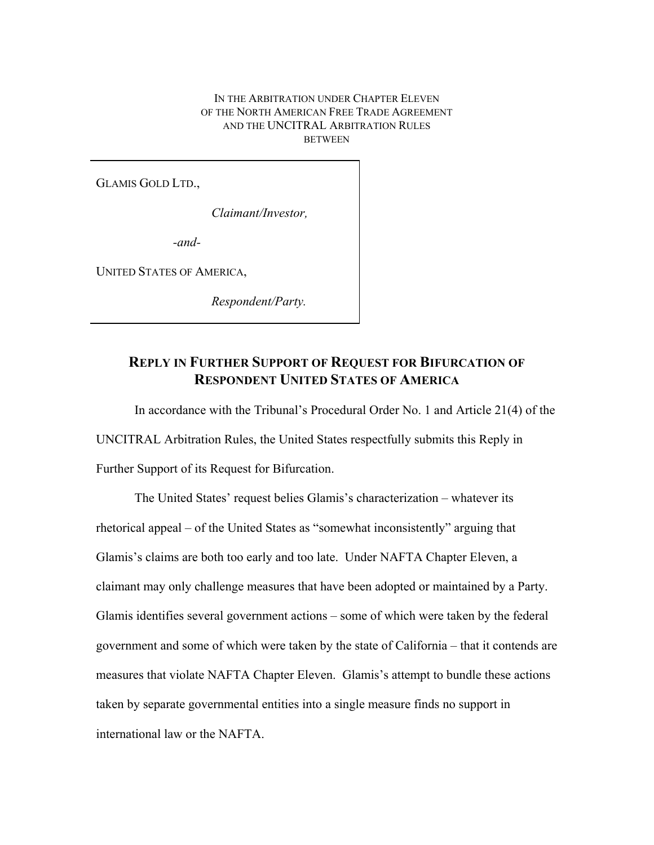IN THE ARBITRATION UNDER CHAPTER ELEVEN OF THE NORTH AMERICAN FREE TRADE AGREEMENT AND THE UNCITRAL ARBITRATION RULES **BETWEEN** 

GLAMIS GOLD LTD.,

*Claimant/Investor,* 

*-and-*

UNITED STATES OF AMERICA,

*Respondent/Party.*

## **REPLY IN FURTHER SUPPORT OF REQUEST FOR BIFURCATION OF RESPONDENT UNITED STATES OF AMERICA**

In accordance with the Tribunal's Procedural Order No. 1 and Article 21(4) of the UNCITRAL Arbitration Rules, the United States respectfully submits this Reply in Further Support of its Request for Bifurcation.

The United States' request belies Glamis's characterization – whatever its rhetorical appeal – of the United States as "somewhat inconsistently" arguing that Glamis's claims are both too early and too late. Under NAFTA Chapter Eleven, a claimant may only challenge measures that have been adopted or maintained by a Party. Glamis identifies several government actions – some of which were taken by the federal government and some of which were taken by the state of California – that it contends are measures that violate NAFTA Chapter Eleven. Glamis's attempt to bundle these actions taken by separate governmental entities into a single measure finds no support in international law or the NAFTA.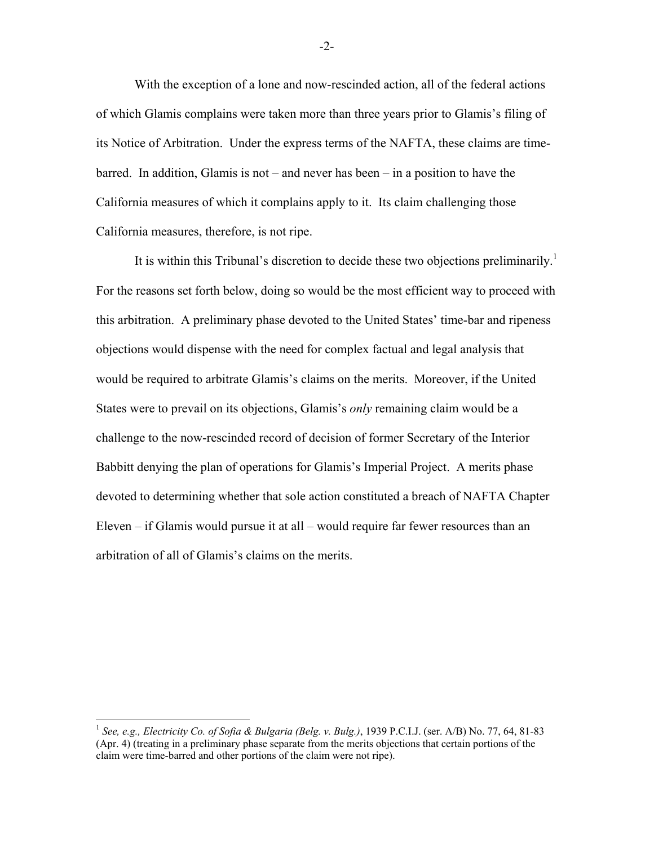With the exception of a lone and now-rescinded action, all of the federal actions of which Glamis complains were taken more than three years prior to Glamis's filing of its Notice of Arbitration. Under the express terms of the NAFTA, these claims are timebarred. In addition, Glamis is not – and never has been – in a position to have the California measures of which it complains apply to it. Its claim challenging those California measures, therefore, is not ripe.

It is within this Tribunal's discretion to decide these two objections preliminarily.<sup>1</sup> For the reasons set forth below, doing so would be the most efficient way to proceed with this arbitration. A preliminary phase devoted to the United States' time-bar and ripeness objections would dispense with the need for complex factual and legal analysis that would be required to arbitrate Glamis's claims on the merits. Moreover, if the United States were to prevail on its objections, Glamis's *only* remaining claim would be a challenge to the now-rescinded record of decision of former Secretary of the Interior Babbitt denying the plan of operations for Glamis's Imperial Project. A merits phase devoted to determining whether that sole action constituted a breach of NAFTA Chapter Eleven – if Glamis would pursue it at all – would require far fewer resources than an arbitration of all of Glamis's claims on the merits.

<sup>1</sup> *See, e.g., Electricity Co. of Sofia & Bulgaria (Belg. v. Bulg.)*, 1939 P.C.I.J. (ser. A/B) No. 77, 64, 81-83 (Apr. 4) (treating in a preliminary phase separate from the merits objections that certain portions of the claim were time-barred and other portions of the claim were not ripe).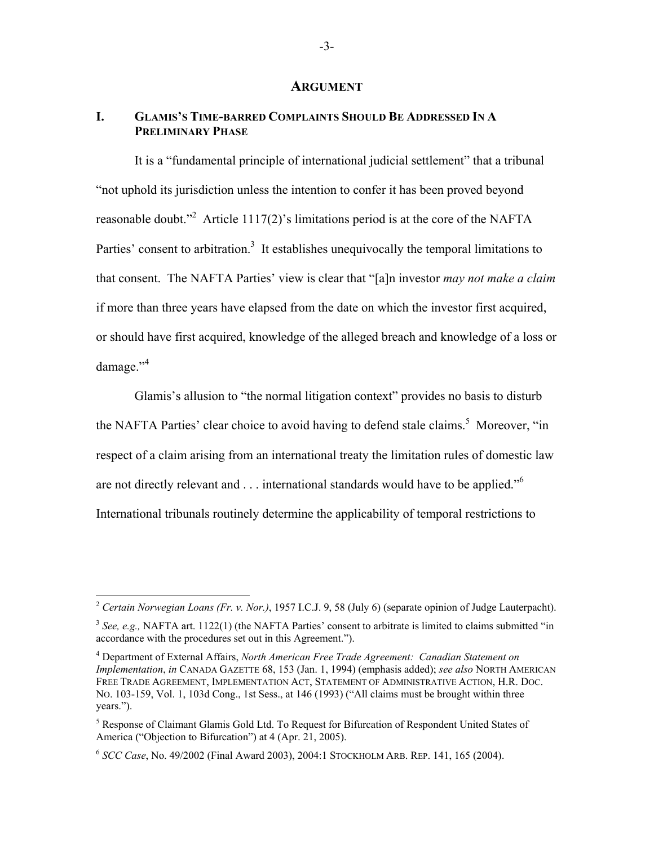#### **ARGUMENT**

## **I. GLAMIS'S TIME-BARRED COMPLAINTS SHOULD BE ADDRESSED IN A PRELIMINARY PHASE**

It is a "fundamental principle of international judicial settlement" that a tribunal "not uphold its jurisdiction unless the intention to confer it has been proved beyond reasonable doubt."<sup>2</sup> Article 1117(2)'s limitations period is at the core of the NAFTA Parties' consent to arbitration.<sup>3</sup> It establishes unequivocally the temporal limitations to that consent. The NAFTA Parties' view is clear that "[a]n investor *may not make a claim* if more than three years have elapsed from the date on which the investor first acquired, or should have first acquired, knowledge of the alleged breach and knowledge of a loss or damage."<sup>4</sup>

Glamis's allusion to "the normal litigation context" provides no basis to disturb the NAFTA Parties' clear choice to avoid having to defend stale claims.<sup>5</sup> Moreover, "in respect of a claim arising from an international treaty the limitation rules of domestic law are not directly relevant and  $\ldots$  international standards would have to be applied."<sup>6</sup> International tribunals routinely determine the applicability of temporal restrictions to

<sup>2</sup> *Certain Norwegian Loans (Fr. v. Nor.)*, 1957 I.C.J. 9, 58 (July 6) (separate opinion of Judge Lauterpacht).

<sup>&</sup>lt;sup>3</sup> See, e.g., NAFTA art. 1122(1) (the NAFTA Parties' consent to arbitrate is limited to claims submitted "in accordance with the procedures set out in this Agreement.").

<sup>4</sup> Department of External Affairs, *North American Free Trade Agreement: Canadian Statement on Implementation*, *in* CANADA GAZETTE 68, 153 (Jan. 1, 1994) (emphasis added); *see also* NORTH AMERICAN FREE TRADE AGREEMENT, IMPLEMENTATION ACT, STATEMENT OF ADMINISTRATIVE ACTION, H.R. DOC. NO. 103-159, Vol. 1, 103d Cong., 1st Sess., at 146 (1993) ("All claims must be brought within three years.").

<sup>&</sup>lt;sup>5</sup> Response of Claimant Glamis Gold Ltd. To Request for Bifurcation of Respondent United States of America ("Objection to Bifurcation") at 4 (Apr. 21, 2005).

<sup>6</sup> *SCC Case*, No. 49/2002 (Final Award 2003), 2004:1 STOCKHOLM ARB. REP. 141, 165 (2004).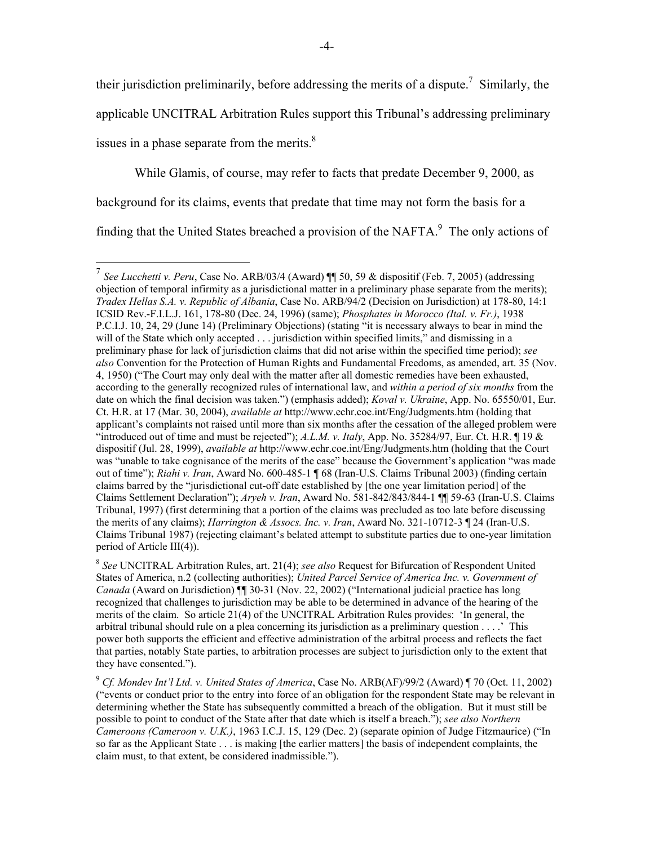their jurisdiction preliminarily, before addressing the merits of a dispute.<sup>7</sup> Similarly, the applicable UNCITRAL Arbitration Rules support this Tribunal's addressing preliminary issues in a phase separate from the merits. $8<sup>8</sup>$ 

While Glamis, of course, may refer to facts that predate December 9, 2000, as background for its claims, events that predate that time may not form the basis for a finding that the United States breached a provision of the NAFTA.<sup>9</sup> The only actions of

<sup>7</sup> *See Lucchetti v. Peru*, Case No. ARB/03/4 (Award) ¶¶ 50, 59 & dispositif (Feb. 7, 2005) (addressing objection of temporal infirmity as a jurisdictional matter in a preliminary phase separate from the merits); *Tradex Hellas S.A. v. Republic of Albania*, Case No. ARB/94/2 (Decision on Jurisdiction) at 178-80, 14:1 ICSID Rev.-F.I.L.J. 161, 178-80 (Dec. 24, 1996) (same); *Phosphates in Morocco (Ital. v. Fr.)*, 1938 P.C.I.J. 10, 24, 29 (June 14) (Preliminary Objections) (stating "it is necessary always to bear in mind the will of the State which only accepted . . . jurisdiction within specified limits," and dismissing in a preliminary phase for lack of jurisdiction claims that did not arise within the specified time period); *see also* Convention for the Protection of Human Rights and Fundamental Freedoms, as amended, art. 35 (Nov. 4, 1950) ("The Court may only deal with the matter after all domestic remedies have been exhausted, according to the generally recognized rules of international law, and *within a period of six months* from the date on which the final decision was taken.") (emphasis added); *Koval v. Ukraine*, App. No. 65550/01, Eur. Ct. H.R. at 17 (Mar. 30, 2004), *available at* http://www.echr.coe.int/Eng/Judgments.htm (holding that applicant's complaints not raised until more than six months after the cessation of the alleged problem were "introduced out of time and must be rejected"); *A.L.M. v. Italy*, App. No. 35284/97, Eur. Ct. H.R. ¶ 19 & dispositif (Jul. 28, 1999), *available at* http://www.echr.coe.int/Eng/Judgments.htm (holding that the Court was "unable to take cognisance of the merits of the case" because the Government's application "was made out of time"); *Riahi v. Iran*, Award No. 600-485-1 ¶ 68 (Iran-U.S. Claims Tribunal 2003) (finding certain claims barred by the "jurisdictional cut-off date established by [the one year limitation period] of the Claims Settlement Declaration"); *Aryeh v. Iran*, Award No. 581-842/843/844-1 ¶¶ 59-63 (Iran-U.S. Claims Tribunal, 1997) (first determining that a portion of the claims was precluded as too late before discussing the merits of any claims); *Harrington & Assocs. Inc. v. Iran*, Award No. 321-10712-3 ¶ 24 (Iran-U.S. Claims Tribunal 1987) (rejecting claimant's belated attempt to substitute parties due to one-year limitation period of Article III(4)).

<sup>8</sup> *See* UNCITRAL Arbitration Rules, art. 21(4); *see also* Request for Bifurcation of Respondent United States of America, n.2 (collecting authorities); *United Parcel Service of America Inc. v. Government of Canada* (Award on Jurisdiction) ¶¶ 30-31 (Nov. 22, 2002) ("International judicial practice has long recognized that challenges to jurisdiction may be able to be determined in advance of the hearing of the merits of the claim. So article 21(4) of the UNCITRAL Arbitration Rules provides: 'In general, the arbitral tribunal should rule on a plea concerning its jurisdiction as a preliminary question . . . .' This power both supports the efficient and effective administration of the arbitral process and reflects the fact that parties, notably State parties, to arbitration processes are subject to jurisdiction only to the extent that they have consented.").

<sup>9</sup> *Cf. Mondev Int'l Ltd. v. United States of America*, Case No. ARB(AF)/99/2 (Award) ¶ 70 (Oct. 11, 2002) ("events or conduct prior to the entry into force of an obligation for the respondent State may be relevant in determining whether the State has subsequently committed a breach of the obligation. But it must still be possible to point to conduct of the State after that date which is itself a breach."); *see also Northern Cameroons (Cameroon v. U.K.)*, 1963 I.C.J. 15, 129 (Dec. 2) (separate opinion of Judge Fitzmaurice) ("In so far as the Applicant State . . . is making [the earlier matters] the basis of independent complaints, the claim must, to that extent, be considered inadmissible.").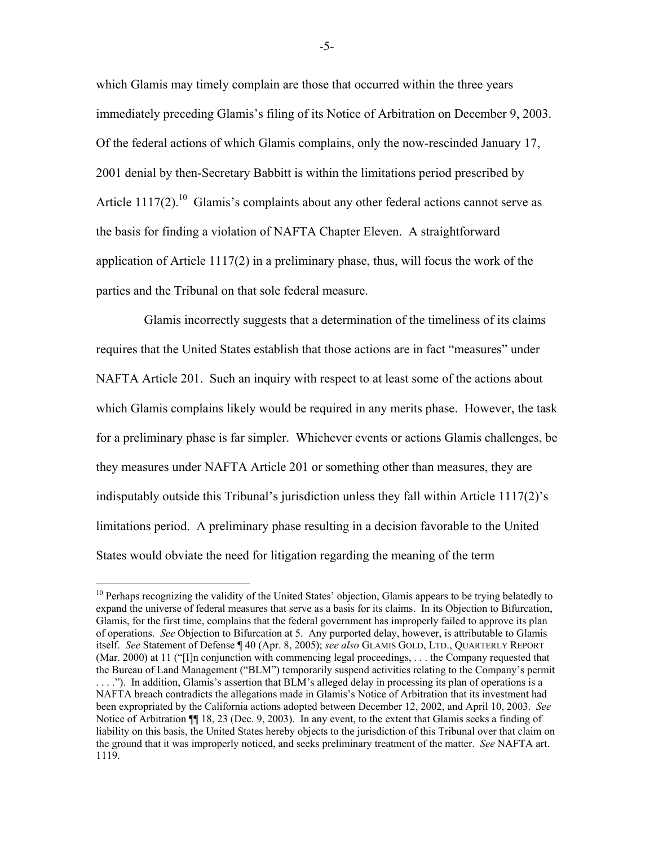which Glamis may timely complain are those that occurred within the three years immediately preceding Glamis's filing of its Notice of Arbitration on December 9, 2003. Of the federal actions of which Glamis complains, only the now-rescinded January 17, 2001 denial by then-Secretary Babbitt is within the limitations period prescribed by Article  $1117(2)$ .<sup>10</sup> Glamis's complaints about any other federal actions cannot serve as the basis for finding a violation of NAFTA Chapter Eleven. A straightforward application of Article  $1117(2)$  in a preliminary phase, thus, will focus the work of the parties and the Tribunal on that sole federal measure.

 Glamis incorrectly suggests that a determination of the timeliness of its claims requires that the United States establish that those actions are in fact "measures" under NAFTA Article 201. Such an inquiry with respect to at least some of the actions about which Glamis complains likely would be required in any merits phase. However, the task for a preliminary phase is far simpler. Whichever events or actions Glamis challenges, be they measures under NAFTA Article 201 or something other than measures, they are indisputably outside this Tribunal's jurisdiction unless they fall within Article 1117(2)'s limitations period. A preliminary phase resulting in a decision favorable to the United States would obviate the need for litigation regarding the meaning of the term

 $\overline{a}$ 

-5-

<sup>&</sup>lt;sup>10</sup> Perhaps recognizing the validity of the United States' objection, Glamis appears to be trying belatedly to expand the universe of federal measures that serve as a basis for its claims. In its Objection to Bifurcation, Glamis, for the first time, complains that the federal government has improperly failed to approve its plan of operations. *See* Objection to Bifurcation at 5. Any purported delay, however, is attributable to Glamis itself. *See* Statement of Defense ¶ 40 (Apr. 8, 2005); *see also* GLAMIS GOLD, LTD., QUARTERLY REPORT (Mar. 2000) at 11 ("[I]n conjunction with commencing legal proceedings, . . . the Company requested that the Bureau of Land Management ("BLM") temporarily suspend activities relating to the Company's permit . . . .").In addition, Glamis's assertion that BLM's alleged delay in processing its plan of operations is a NAFTA breach contradicts the allegations made in Glamis's Notice of Arbitration that its investment had been expropriated by the California actions adopted between December 12, 2002, and April 10, 2003. *See*  Notice of Arbitration ¶ 18, 23 (Dec. 9, 2003). In any event, to the extent that Glamis seeks a finding of liability on this basis, the United States hereby objects to the jurisdiction of this Tribunal over that claim on the ground that it was improperly noticed, and seeks preliminary treatment of the matter. *See* NAFTA art. 1119.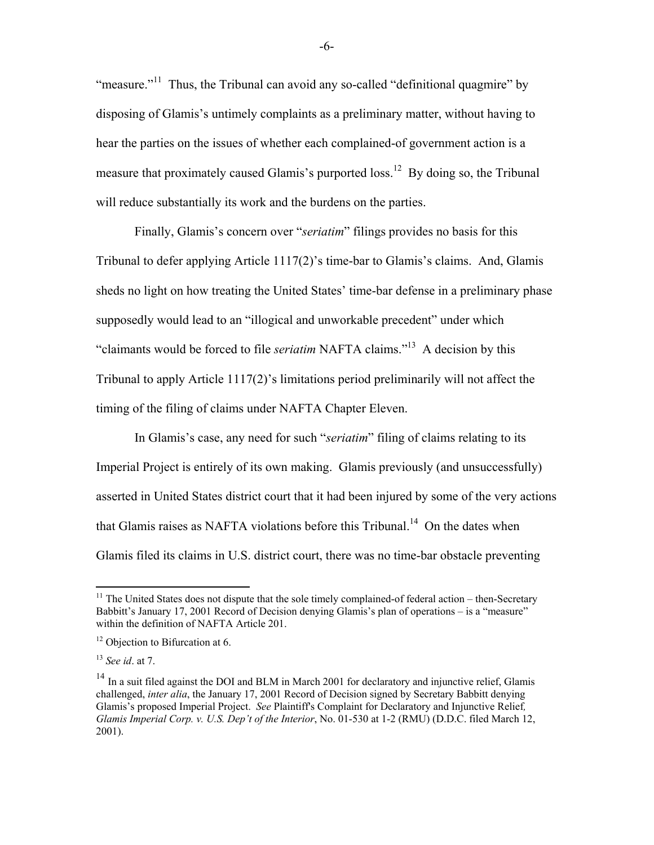"measure."<sup>11</sup> Thus, the Tribunal can avoid any so-called "definitional quagmire" by disposing of Glamis's untimely complaints as a preliminary matter, without having to hear the parties on the issues of whether each complained-of government action is a measure that proximately caused Glamis's purported loss.<sup>12</sup> By doing so, the Tribunal will reduce substantially its work and the burdens on the parties.

Finally, Glamis's concern over "*seriatim*" filings provides no basis for this Tribunal to defer applying Article 1117(2)'s time-bar to Glamis's claims. And, Glamis sheds no light on how treating the United States' time-bar defense in a preliminary phase supposedly would lead to an "illogical and unworkable precedent" under which "claimants would be forced to file *seriatim* NAFTA claims."13 A decision by this Tribunal to apply Article  $117(2)$ 's limitations period preliminarily will not affect the timing of the filing of claims under NAFTA Chapter Eleven.

In Glamis's case, any need for such "*seriatim*" filing of claims relating to its Imperial Project is entirely of its own making. Glamis previously (and unsuccessfully) asserted in United States district court that it had been injured by some of the very actions that Glamis raises as NAFTA violations before this Tribunal.<sup>14</sup> On the dates when Glamis filed its claims in U.S. district court, there was no time-bar obstacle preventing

1

 $11$  The United States does not dispute that the sole timely complained-of federal action – then-Secretary Babbitt's January 17, 2001 Record of Decision denying Glamis's plan of operations – is a "measure" within the definition of NAFTA Article 201.

<sup>&</sup>lt;sup>12</sup> Objection to Bifurcation at 6.

<sup>13</sup> *See id*. at 7.

 $14$  In a suit filed against the DOI and BLM in March 2001 for declaratory and injunctive relief, Glamis challenged, *inter alia*, the January 17, 2001 Record of Decision signed by Secretary Babbitt denying Glamis's proposed Imperial Project. *See* Plaintiff's Complaint for Declaratory and Injunctive Relief*, Glamis Imperial Corp. v. U.S. Dep't of the Interior*, No. 01-530 at 1-2 (RMU) (D.D.C. filed March 12, 2001).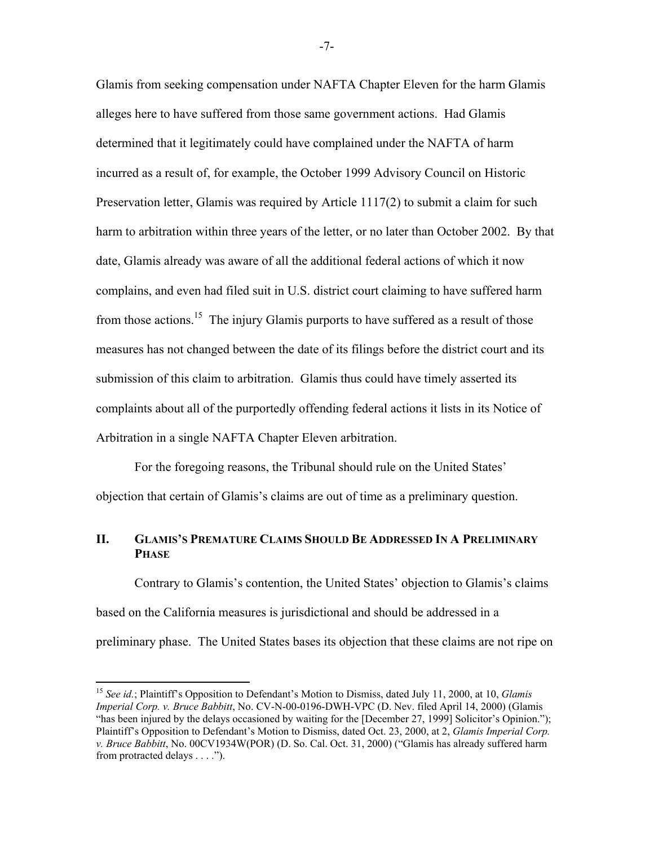Glamis from seeking compensation under NAFTA Chapter Eleven for the harm Glamis alleges here to have suffered from those same government actions. Had Glamis determined that it legitimately could have complained under the NAFTA of harm incurred as a result of, for example, the October 1999 Advisory Council on Historic Preservation letter, Glamis was required by Article 1117(2) to submit a claim for such harm to arbitration within three years of the letter, or no later than October 2002. By that date, Glamis already was aware of all the additional federal actions of which it now complains, and even had filed suit in U.S. district court claiming to have suffered harm from those actions.<sup>15</sup> The injury Glamis purports to have suffered as a result of those measures has not changed between the date of its filings before the district court and its submission of this claim to arbitration. Glamis thus could have timely asserted its complaints about all of the purportedly offending federal actions it lists in its Notice of Arbitration in a single NAFTA Chapter Eleven arbitration.

For the foregoing reasons, the Tribunal should rule on the United States' objection that certain of Glamis's claims are out of time as a preliminary question.

## **II. GLAMIS'S PREMATURE CLAIMS SHOULD BE ADDRESSED IN A PRELIMINARY PHASE**

Contrary to Glamis's contention, the United States' objection to Glamis's claims based on the California measures is jurisdictional and should be addressed in a preliminary phase. The United States bases its objection that these claims are not ripe on

 $\overline{a}$ 

-7-

<sup>15</sup> *See id.*; Plaintiff's Opposition to Defendant's Motion to Dismiss, dated July 11, 2000, at 10, *Glamis Imperial Corp. v. Bruce Babbitt*, No. CV-N-00-0196-DWH-VPC (D. Nev. filed April 14, 2000) (Glamis "has been injured by the delays occasioned by waiting for the [December 27, 1999] Solicitor's Opinion."); Plaintiff's Opposition to Defendant's Motion to Dismiss, dated Oct. 23, 2000, at 2, *Glamis Imperial Corp. v. Bruce Babbitt*, No. 00CV1934W(POR) (D. So. Cal. Oct. 31, 2000) ("Glamis has already suffered harm from protracted delays . . . .").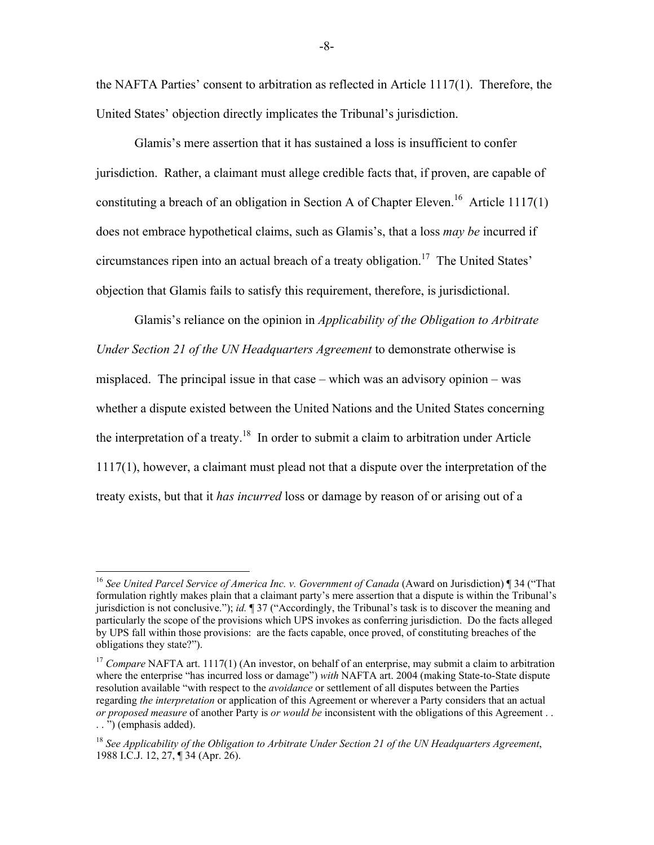the NAFTA Parties' consent to arbitration as reflected in Article 1117(1). Therefore, the United States' objection directly implicates the Tribunal's jurisdiction.

Glamis's mere assertion that it has sustained a loss is insufficient to confer jurisdiction. Rather, a claimant must allege credible facts that, if proven, are capable of constituting a breach of an obligation in Section A of Chapter Eleven.<sup>16</sup> Article 1117(1) does not embrace hypothetical claims, such as Glamis's, that a loss *may be* incurred if circumstances ripen into an actual breach of a treaty obligation.<sup>17</sup> The United States' objection that Glamis fails to satisfy this requirement, therefore, is jurisdictional.

Glamis's reliance on the opinion in *Applicability of the Obligation to Arbitrate Under Section 21 of the UN Headquarters Agreement* to demonstrate otherwise is misplaced. The principal issue in that case – which was an advisory opinion – was whether a dispute existed between the United Nations and the United States concerning the interpretation of a treaty.<sup>18</sup> In order to submit a claim to arbitration under Article 1117(1), however, a claimant must plead not that a dispute over the interpretation of the treaty exists, but that it *has incurred* loss or damage by reason of or arising out of a

<sup>16</sup> *See United Parcel Service of America Inc. v. Government of Canada* (Award on Jurisdiction) ¶ 34 ("That formulation rightly makes plain that a claimant party's mere assertion that a dispute is within the Tribunal's jurisdiction is not conclusive."); *id.* ¶ 37 ("Accordingly, the Tribunal's task is to discover the meaning and particularly the scope of the provisions which UPS invokes as conferring jurisdiction. Do the facts alleged by UPS fall within those provisions: are the facts capable, once proved, of constituting breaches of the obligations they state?").

<sup>&</sup>lt;sup>17</sup> *Compare* NAFTA art. 1117(1) (An investor, on behalf of an enterprise, may submit a claim to arbitration where the enterprise "has incurred loss or damage") *with* NAFTA art. 2004 (making State-to-State dispute resolution available "with respect to the *avoidance* or settlement of all disputes between the Parties regarding *the interpretation* or application of this Agreement or wherever a Party considers that an actual *or proposed measure* of another Party is *or would be* inconsistent with the obligations of this Agreement . . . . ") (emphasis added).

<sup>18</sup> *See Applicability of the Obligation to Arbitrate Under Section 21 of the UN Headquarters Agreement*, 1988 I.C.J. 12, 27, ¶ 34 (Apr. 26).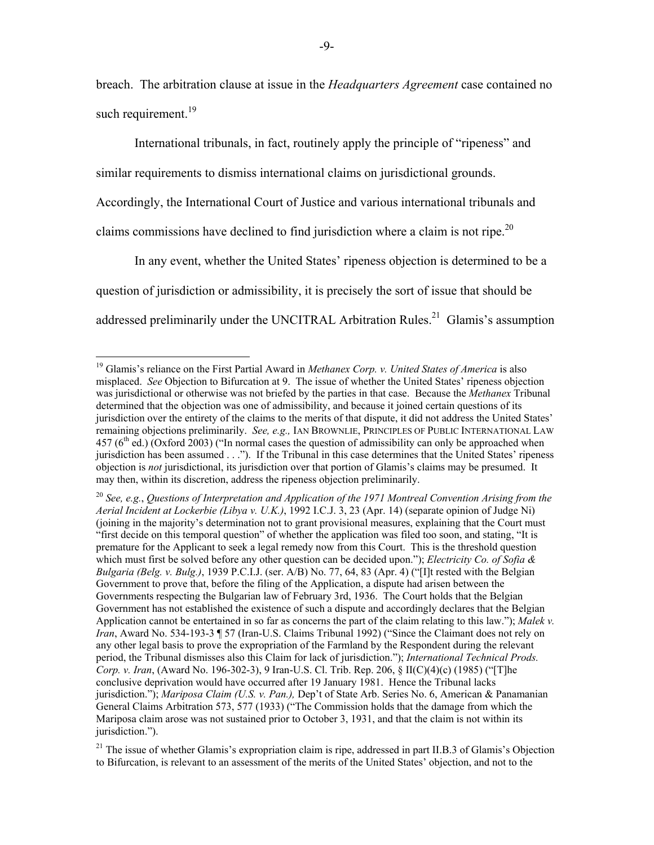breach. The arbitration clause at issue in the *Headquarters Agreement* case contained no such requirement.<sup>19</sup>

International tribunals, in fact, routinely apply the principle of "ripeness" and

similar requirements to dismiss international claims on jurisdictional grounds.

Accordingly, the International Court of Justice and various international tribunals and

claims commissions have declined to find jurisdiction where a claim is not ripe.<sup>20</sup>

 $\overline{a}$ 

In any event, whether the United States' ripeness objection is determined to be a question of jurisdiction or admissibility, it is precisely the sort of issue that should be addressed preliminarily under the UNCITRAL Arbitration Rules.<sup>21</sup> Glamis's assumption

<sup>21</sup> The issue of whether Glamis's expropriation claim is ripe, addressed in part II.B.3 of Glamis's Objection to Bifurcation, is relevant to an assessment of the merits of the United States' objection, and not to the

<sup>19</sup> Glamis's reliance on the First Partial Award in *Methanex Corp. v. United States of America* is also misplaced. *See* Objection to Bifurcation at 9. The issue of whether the United States' ripeness objection was jurisdictional or otherwise was not briefed by the parties in that case. Because the *Methanex* Tribunal determined that the objection was one of admissibility, and because it joined certain questions of its jurisdiction over the entirety of the claims to the merits of that dispute, it did not address the United States' remaining objections preliminarily. *See, e.g.,* IAN BROWNLIE, PRINCIPLES OF PUBLIC INTERNATIONAL LAW 457 ( $6<sup>th</sup>$  ed.) (Oxford 2003) ("In normal cases the question of admissibility can only be approached when jurisdiction has been assumed . . ."). If the Tribunal in this case determines that the United States' ripeness objection is *not* jurisdictional, its jurisdiction over that portion of Glamis's claims may be presumed. It may then, within its discretion, address the ripeness objection preliminarily.

<sup>20</sup> *See, e.g.*, *Questions of Interpretation and Application of the 1971 Montreal Convention Arising from the Aerial Incident at Lockerbie (Libya v. U.K.)*, 1992 I.C.J. 3, 23 (Apr. 14) (separate opinion of Judge Ni) (joining in the majority's determination not to grant provisional measures, explaining that the Court must "first decide on this temporal question" of whether the application was filed too soon, and stating, "It is premature for the Applicant to seek a legal remedy now from this Court. This is the threshold question which must first be solved before any other question can be decided upon."); *Electricity Co. of Sofia & Bulgaria (Belg. v. Bulg.)*, 1939 P.C.I.J. (ser. A/B) No. 77, 64, 83 (Apr. 4) ("[I]t rested with the Belgian Government to prove that, before the filing of the Application, a dispute had arisen between the Governments respecting the Bulgarian law of February 3rd, 1936. The Court holds that the Belgian Government has not established the existence of such a dispute and accordingly declares that the Belgian Application cannot be entertained in so far as concerns the part of the claim relating to this law."); *Malek v. Iran*, Award No. 534-193-3 **[57 (Iran-U.S. Claims Tribunal 1992)** ("Since the Claimant does not rely on any other legal basis to prove the expropriation of the Farmland by the Respondent during the relevant period, the Tribunal dismisses also this Claim for lack of jurisdiction."); *International Technical Prods. Corp. v. Iran*, (Award No. 196-302-3), 9 Iran-U.S. Cl. Trib. Rep. 206, § II(C)(4)(c) (1985) ("[T]he conclusive deprivation would have occurred after 19 January 1981. Hence the Tribunal lacks jurisdiction."); *Mariposa Claim (U.S. v. Pan.),* Dep't of State Arb. Series No. 6, American & Panamanian General Claims Arbitration 573, 577 (1933) ("The Commission holds that the damage from which the Mariposa claim arose was not sustained prior to October 3, 1931, and that the claim is not within its jurisdiction.").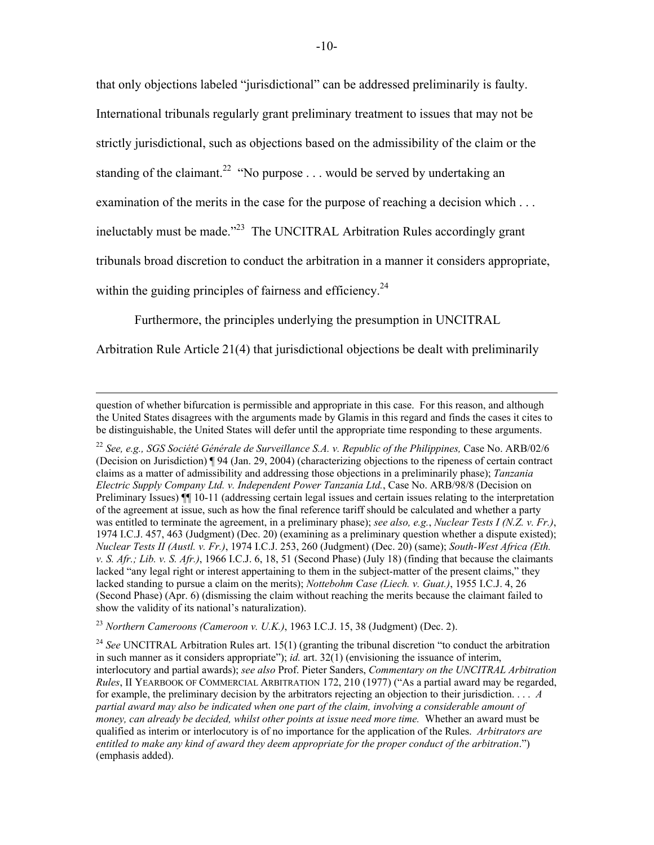that only objections labeled "jurisdictional" can be addressed preliminarily is faulty. International tribunals regularly grant preliminary treatment to issues that may not be strictly jurisdictional, such as objections based on the admissibility of the claim or the standing of the claimant.<sup>22</sup> "No purpose . . . would be served by undertaking an examination of the merits in the case for the purpose of reaching a decision which ... ineluctably must be made."23 The UNCITRAL Arbitration Rules accordingly grant tribunals broad discretion to conduct the arbitration in a manner it considers appropriate, within the guiding principles of fairness and efficiency.<sup>24</sup>

Furthermore, the principles underlying the presumption in UNCITRAL

Arbitration Rule Article 21(4) that jurisdictional objections be dealt with preliminarily

<sup>23</sup> *Northern Cameroons (Cameroon v. U.K.)*, 1963 I.C.J. 15, 38 (Judgment) (Dec. 2).

question of whether bifurcation is permissible and appropriate in this case. For this reason, and although the United States disagrees with the arguments made by Glamis in this regard and finds the cases it cites to be distinguishable, the United States will defer until the appropriate time responding to these arguments.

<sup>22</sup> *See, e.g., SGS Société Générale de Surveillance S.A. v. Republic of the Philippines,* Case No. ARB/02/6 (Decision on Jurisdiction) ¶ 94 (Jan. 29, 2004) (characterizing objections to the ripeness of certain contract claims as a matter of admissibility and addressing those objections in a preliminarily phase); *Tanzania Electric Supply Company Ltd. v. Independent Power Tanzania Ltd.*, Case No. ARB/98/8 (Decision on Preliminary Issues) ¶¶ 10-11 (addressing certain legal issues and certain issues relating to the interpretation of the agreement at issue, such as how the final reference tariff should be calculated and whether a party was entitled to terminate the agreement, in a preliminary phase); *see also, e.g.*, *Nuclear Tests I (N.Z. v. Fr.)*, 1974 I.C.J. 457, 463 (Judgment) (Dec. 20) (examining as a preliminary question whether a dispute existed); *Nuclear Tests II (Austl. v. Fr.)*, 1974 I.C.J. 253, 260 (Judgment) (Dec. 20) (same); *South-West Africa (Eth. v. S. Afr.; Lib. v. S. Afr.)*, 1966 I.C.J. 6, 18, 51 (Second Phase) (July 18) (finding that because the claimants lacked "any legal right or interest appertaining to them in the subject-matter of the present claims," they lacked standing to pursue a claim on the merits); *Nottebohm Case (Liech. v. Guat.)*, 1955 I.C.J. 4, 26 (Second Phase) (Apr. 6) (dismissing the claim without reaching the merits because the claimant failed to show the validity of its national's naturalization).

<sup>&</sup>lt;sup>24</sup> *See* UNCITRAL Arbitration Rules art. 15(1) (granting the tribunal discretion "to conduct the arbitration" in such manner as it considers appropriate"); *id.* art. 32(1) (envisioning the issuance of interim, interlocutory and partial awards); *see also* Prof. Pieter Sanders, *Commentary on the UNCITRAL Arbitration Rules*, II YEARBOOK OF COMMERCIAL ARBITRATION 172, 210 (1977) ("As a partial award may be regarded, for example, the preliminary decision by the arbitrators rejecting an objection to their jurisdiction. . . . *A partial award may also be indicated when one part of the claim, involving a considerable amount of money, can already be decided, whilst other points at issue need more time.* Whether an award must be qualified as interim or interlocutory is of no importance for the application of the Rules. *Arbitrators are entitled to make any kind of award they deem appropriate for the proper conduct of the arbitration*.") (emphasis added).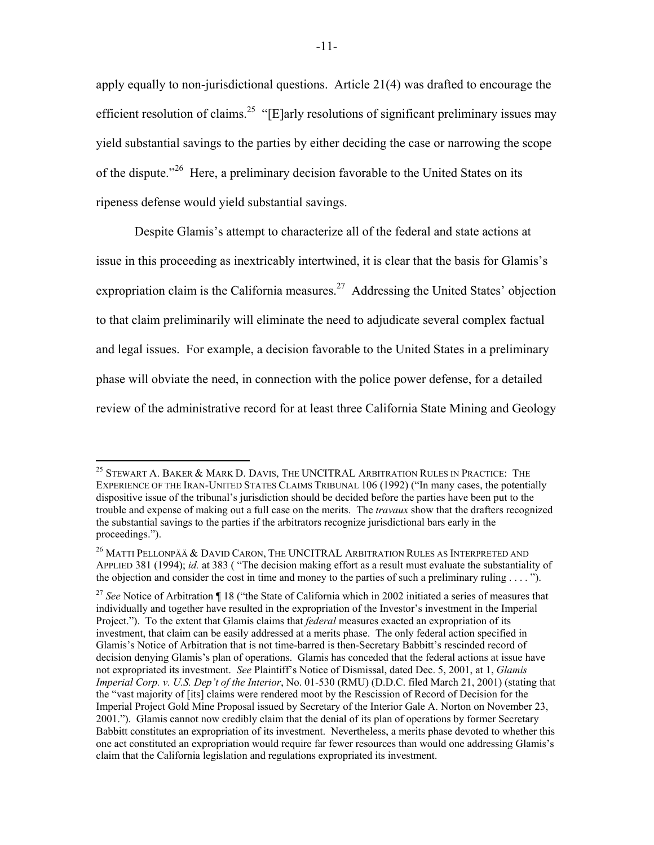apply equally to non-jurisdictional questions. Article 21(4) was drafted to encourage the efficient resolution of claims.<sup>25</sup> "[E]arly resolutions of significant preliminary issues may yield substantial savings to the parties by either deciding the case or narrowing the scope of the dispute."26 Here, a preliminary decision favorable to the United States on its ripeness defense would yield substantial savings.

Despite Glamis's attempt to characterize all of the federal and state actions at issue in this proceeding as inextricably intertwined, it is clear that the basis for Glamis's expropriation claim is the California measures.<sup>27</sup> Addressing the United States' objection to that claim preliminarily will eliminate the need to adjudicate several complex factual and legal issues. For example, a decision favorable to the United States in a preliminary phase will obviate the need, in connection with the police power defense, for a detailed review of the administrative record for at least three California State Mining and Geology

<sup>&</sup>lt;sup>25</sup> STEWART A. BAKER & MARK D. DAVIS, THE UNCITRAL ARBITRATION RULES IN PRACTICE: THE EXPERIENCE OF THE IRAN-UNITED STATES CLAIMS TRIBUNAL 106 (1992) ("In many cases, the potentially dispositive issue of the tribunal's jurisdiction should be decided before the parties have been put to the trouble and expense of making out a full case on the merits. The *travaux* show that the drafters recognized the substantial savings to the parties if the arbitrators recognize jurisdictional bars early in the proceedings.").

 $^{26}$  Matti Pellonpää & David Caron, The UNCITRAL Arbitration Rules as Interpreted and APPLIED 381 (1994); *id.* at 383 ( "The decision making effort as a result must evaluate the substantiality of the objection and consider the cost in time and money to the parties of such a preliminary ruling . . . . ").

<sup>&</sup>lt;sup>27</sup> See Notice of Arbitration ¶ 18 ("the State of California which in 2002 initiated a series of measures that individually and together have resulted in the expropriation of the Investor's investment in the Imperial Project."). To the extent that Glamis claims that *federal* measures exacted an expropriation of its investment, that claim can be easily addressed at a merits phase. The only federal action specified in Glamis's Notice of Arbitration that is not time-barred is then-Secretary Babbitt's rescinded record of decision denying Glamis's plan of operations. Glamis has conceded that the federal actions at issue have not expropriated its investment. *See* Plaintiff's Notice of Dismissal, dated Dec. 5, 2001, at 1, *Glamis Imperial Corp. v. U.S. Dep't of the Interior*, No. 01-530 (RMU) (D.D.C. filed March 21, 2001) (stating that the "vast majority of [its] claims were rendered moot by the Rescission of Record of Decision for the Imperial Project Gold Mine Proposal issued by Secretary of the Interior Gale A. Norton on November 23, 2001."). Glamis cannot now credibly claim that the denial of its plan of operations by former Secretary Babbitt constitutes an expropriation of its investment. Nevertheless, a merits phase devoted to whether this one act constituted an expropriation would require far fewer resources than would one addressing Glamis's claim that the California legislation and regulations expropriated its investment.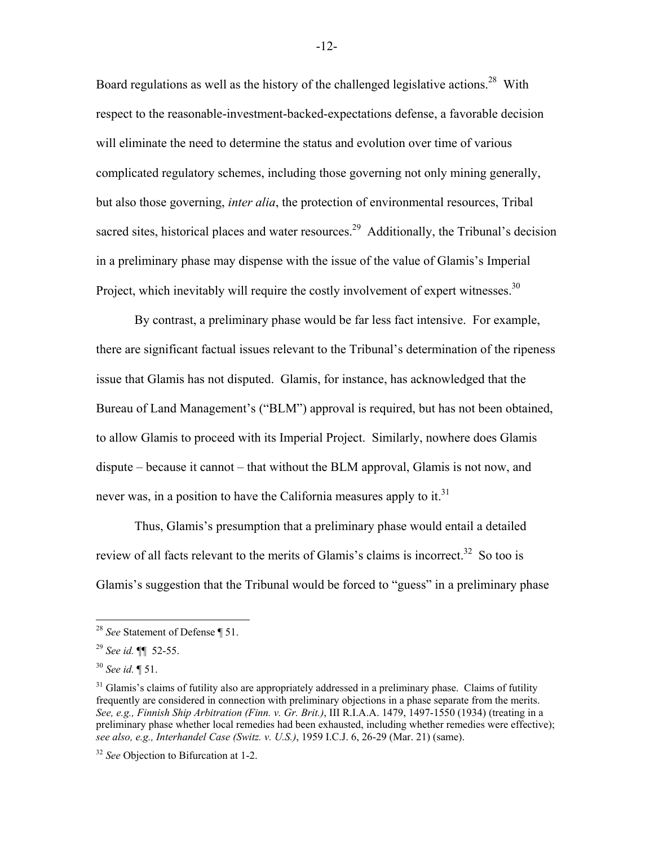Board regulations as well as the history of the challenged legislative actions.<sup>28</sup> With respect to the reasonable-investment-backed-expectations defense, a favorable decision will eliminate the need to determine the status and evolution over time of various complicated regulatory schemes, including those governing not only mining generally, but also those governing, *inter alia*, the protection of environmental resources, Tribal sacred sites, historical places and water resources.<sup>29</sup> Additionally, the Tribunal's decision in a preliminary phase may dispense with the issue of the value of Glamis's Imperial Project, which inevitably will require the costly involvement of expert witnesses.  $30$ 

By contrast, a preliminary phase would be far less fact intensive. For example, there are significant factual issues relevant to the Tribunal's determination of the ripeness issue that Glamis has not disputed. Glamis, for instance, has acknowledged that the Bureau of Land Management's ("BLM") approval is required, but has not been obtained, to allow Glamis to proceed with its Imperial Project. Similarly, nowhere does Glamis dispute – because it cannot – that without the BLM approval, Glamis is not now, and never was, in a position to have the California measures apply to it.<sup>31</sup>

Thus, Glamis's presumption that a preliminary phase would entail a detailed review of all facts relevant to the merits of Glamis's claims is incorrect.<sup>32</sup> So too is Glamis's suggestion that the Tribunal would be forced to "guess" in a preliminary phase

<sup>28</sup> *See* Statement of Defense ¶ 51.

<sup>29</sup> *See id.* ¶¶ 52-55.

<sup>30</sup> *See id.* ¶ 51.

<sup>&</sup>lt;sup>31</sup> Glamis's claims of futility also are appropriately addressed in a preliminary phase. Claims of futility frequently are considered in connection with preliminary objections in a phase separate from the merits. *See, e.g., Finnish Ship Arbitration (Finn. v. Gr. Brit.)*, III R.I.A.A. 1479, 1497-1550 (1934) (treating in a preliminary phase whether local remedies had been exhausted, including whether remedies were effective); *see also, e.g., Interhandel Case (Switz. v. U.S.)*, 1959 I.C.J. 6, 26-29 (Mar. 21) (same).

<sup>32</sup> *See* Objection to Bifurcation at 1-2.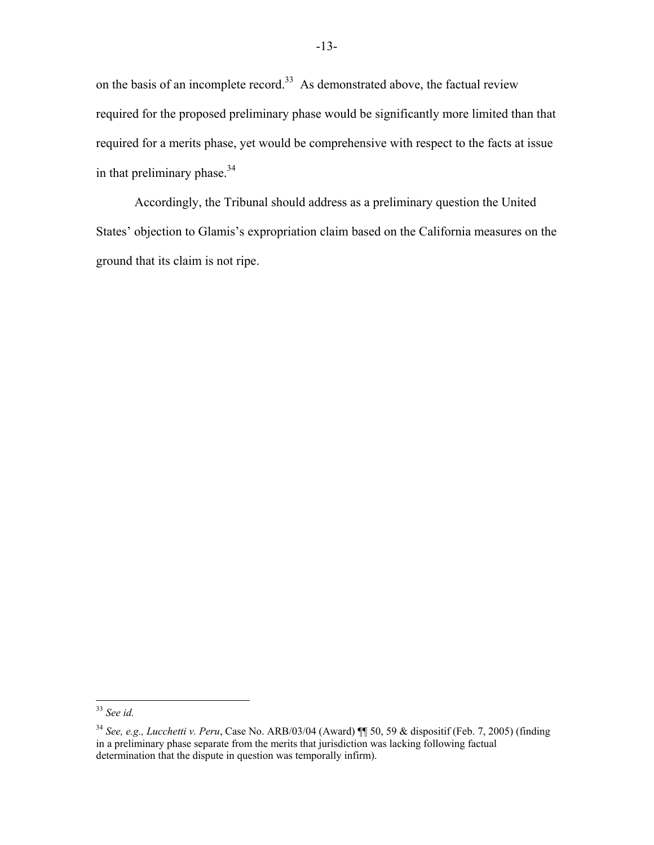on the basis of an incomplete record.<sup>33</sup> As demonstrated above, the factual review required for the proposed preliminary phase would be significantly more limited than that required for a merits phase, yet would be comprehensive with respect to the facts at issue in that preliminary phase. $34$ 

Accordingly, the Tribunal should address as a preliminary question the United States' objection to Glamis's expropriation claim based on the California measures on the ground that its claim is not ripe.

<sup>33</sup> *See id.* 

<sup>34</sup> *See, e.g., Lucchetti v. Peru*, Case No. ARB/03/04 (Award) ¶¶ 50, 59 & dispositif (Feb. 7, 2005) (finding in a preliminary phase separate from the merits that jurisdiction was lacking following factual determination that the dispute in question was temporally infirm).